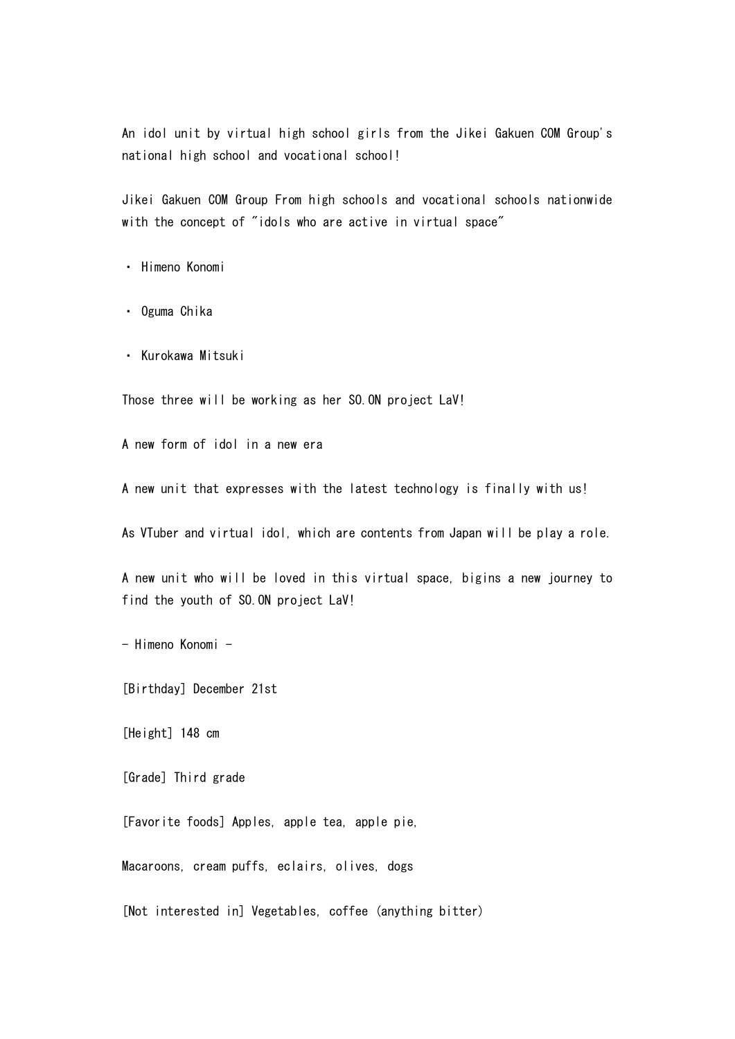An idol unit by virtual high school girls from the Jikei Gakuen COM Group's national high school and vocational school!

Jikei Gakuen COM Group From high schools and vocational schools nationwide with the concept of "idols who are active in virtual space"

・ Himeno Konomi

・ Oguma Chika

・ Kurokawa Mitsuki

Those three will be working as her SO.ON project LaV!

A new form of idol in a new era

A new unit that expresses with the latest technology is finally with us!

As VTuber and virtual idol, which are contents from Japan will be play a role.

A new unit who will be loved in this virtual space, bigins a new journey to find the youth of SO.ON project LaV!

- Himeno Konomi -

[Birthday] December 21st

[Height] 148 cm

[Grade] Third grade

[Favorite foods] Apples, apple tea, apple pie,

Macaroons, cream puffs, eclairs, olives, dogs

[Not interested in] Vegetables, coffee (anything bitter)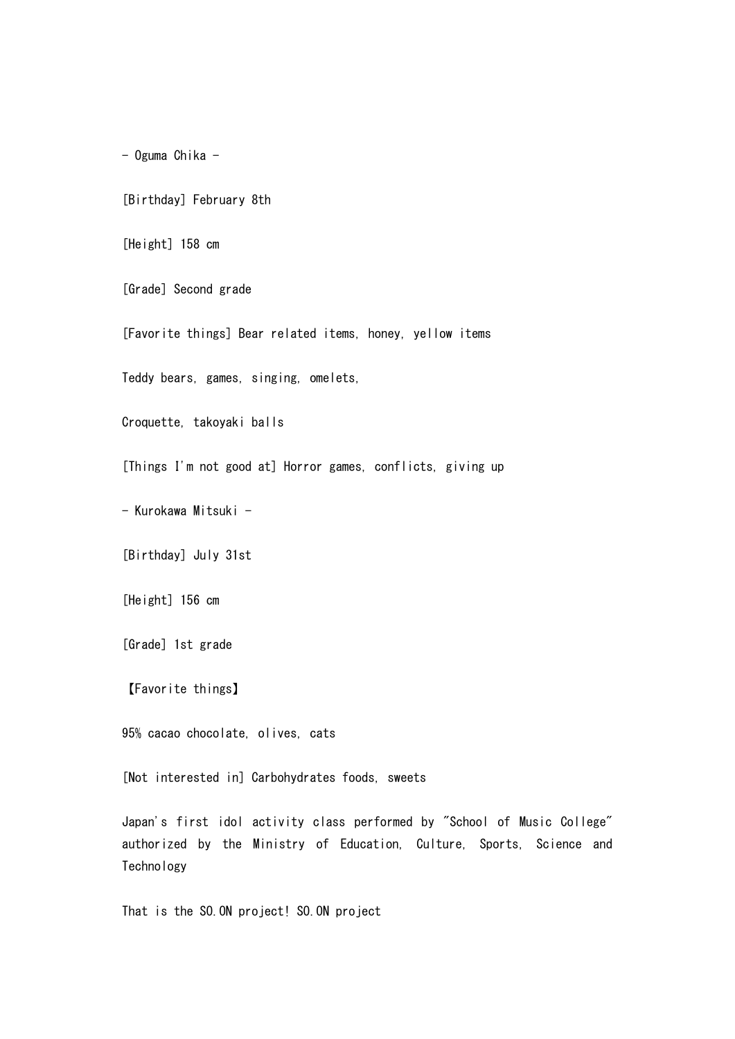- Oguma Chika -

[Birthday] February 8th

[Height] 158 cm

[Grade] Second grade

[Favorite things] Bear related items, honey, yellow items

Teddy bears, games, singing, omelets,

Croquette, takoyaki balls

[Things I'm not good at] Horror games, conflicts, giving up

- Kurokawa Mitsuki -

[Birthday] July 31st

[Height] 156 cm

[Grade] 1st grade

【Favorite things】

95% cacao chocolate, olives, cats

[Not interested in] Carbohydrates foods, sweets

Japan's first idol activity class performed by "School of Music College" authorized by the Ministry of Education, Culture, Sports, Science and **Technology** 

That is the SO. ON project! SO. ON project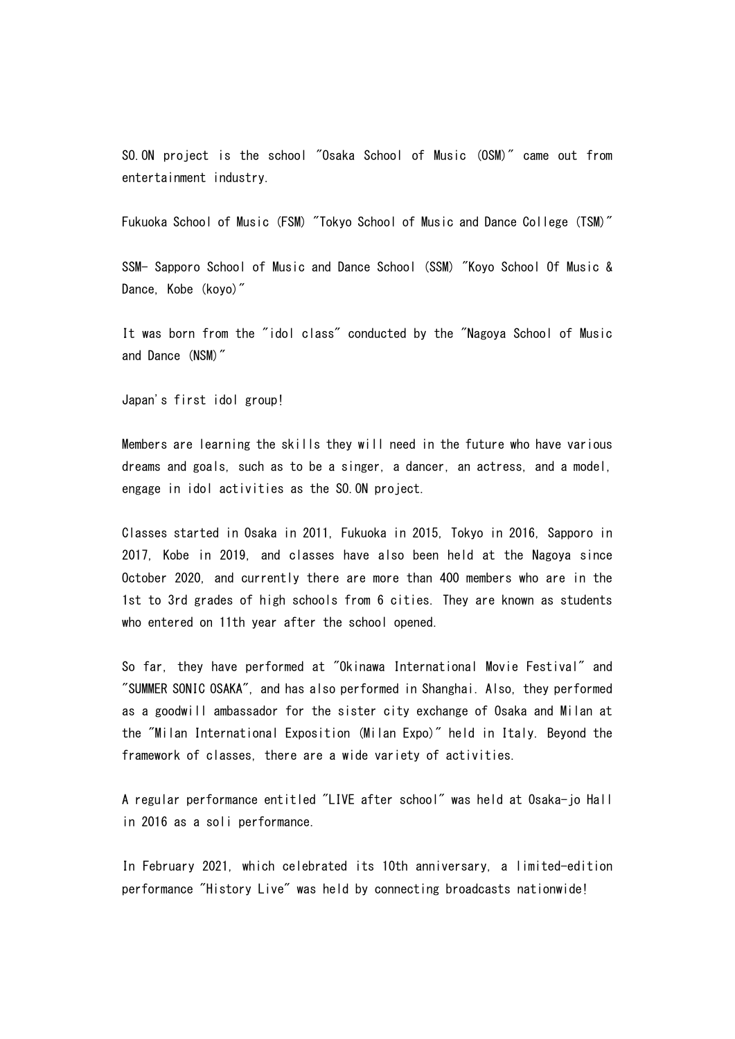SO.ON project is the school "Osaka School of Music (OSM)" came out from entertainment industry.

Fukuoka School of Music (FSM) "Tokyo School of Music and Dance College (TSM)"

SSM- Sapporo School of Music and Dance School (SSM) "Koyo School Of Music & Dance, Kobe (koyo)"

It was born from the "idol class" conducted by the "Nagoya School of Music and Dance (NSM)"

Japan's first idol group!

Members are learning the skills they will need in the future who have various dreams and goals, such as to be a singer, a dancer, an actress, and a model, engage in idol activities as the SO.ON project.

Classes started in Osaka in 2011, Fukuoka in 2015, Tokyo in 2016, Sapporo in 2017, Kobe in 2019, and classes have also been held at the Nagoya since October 2020, and currently there are more than 400 members who are in the 1st to 3rd grades of high schools from 6 cities. They are known as students who entered on 11th year after the school opened.

So far, they have performed at "Okinawa International Movie Festival" and "SUMMER SONIC OSAKA", and has also performed in Shanghai. Also, they performed as a goodwill ambassador for the sister city exchange of Osaka and Milan at the "Milan International Exposition (Milan Expo)" held in Italy. Beyond the framework of classes, there are a wide variety of activities.

A regular performance entitled "LIVE after school" was held at Osaka-jo Hall in 2016 as a soli performance.

In February 2021, which celebrated its 10th anniversary, a limited-edition performance "History Live" was held by connecting broadcasts nationwide!